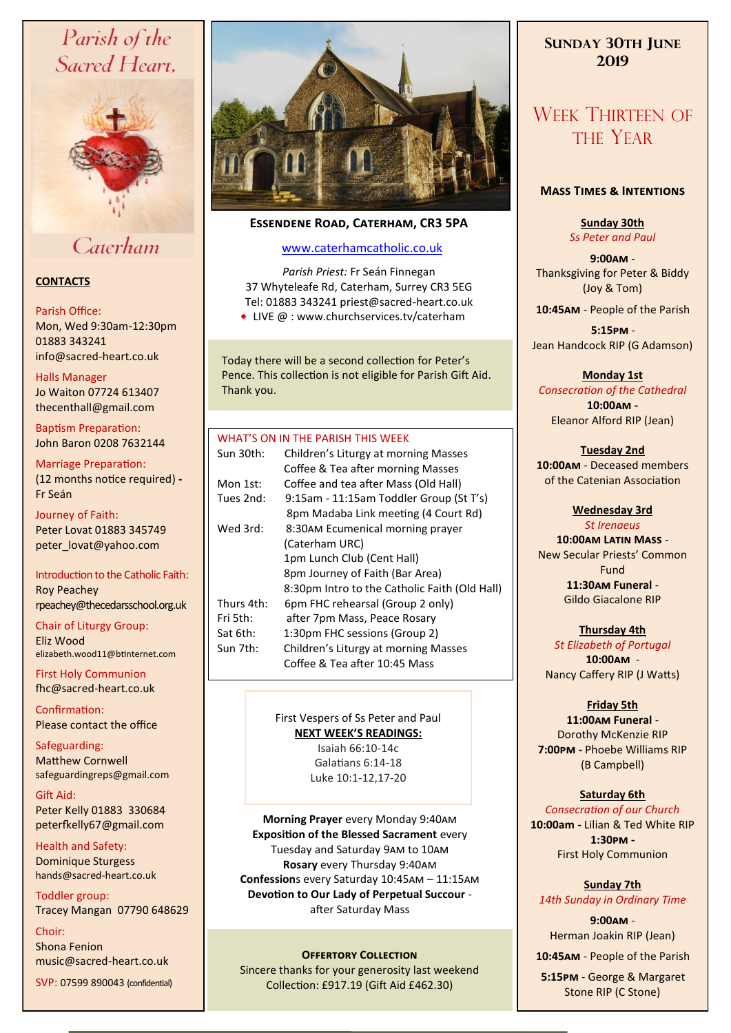# Parish of the Sacred Heart,



# Caterham

# **CONTACTS**

## Parish Office:

Mon, Wed 9:30am-12:30pm 01883 343241 info@sacred-heart.co.uk .

### Halls Manager

Jo Waiton 07724 613407 thecenthall@gmail.com

Baptism Preparation: John Baron 0208 7632144

Marriage Preparation: (12 months notice required) **-** Fr Seán

Journey of Faith: Peter Lovat 01883 345749 peter\_lovat@yahoo.com

Introduction to the Catholic Faith: Roy Peachey rpeachey@thecedarsschool.org.uk

Chair of Liturgy Group: Eliz Wood elizabeth.wood11@btinternet.com

First Holy Communion fhc@sacred-heart.co.uk

Confirmation: Please contact the office

Safeguarding: Matthew Cornwell safeguardingreps@gmail.com

Gift Aid: Peter Kelly 01883 330684 peterfkelly67@gmail.com

Health and Safety: Dominique Sturgess hands@sacred-heart.co.uk

Toddler group: Tracey Mangan 07790 648629

Choir: Shona Fenion music@sacred-heart.co.uk

SVP: 07599 890043 (confidential)



# **Essendene Road, Caterham, CR3 5PA**

# [www.caterhamcatholic.co.uk](http://Www.caterhamcatholic.co.uk)

*Parish Priest:* Fr Seán Finnegan 37 Whyteleafe Rd, Caterham, Surrey CR3 5EG Tel: 01883 343241 priest@sacred-heart.co.uk

● LIVE @ : www.churchservices.tv/caterham

Today there will be a second collection for Peter's Pence. This collection is not eligible for Parish Gift Aid. Thank you.

## WHAT'S ON IN THE PARISH THIS WEEK.

| Sun 30th:  | Children's Liturgy at morning Masses<br>Coffee & Tea after morning Masses       |
|------------|---------------------------------------------------------------------------------|
| Mon 1st:   | Coffee and tea after Mass (Old Hall)                                            |
| Tues 2nd:  | 9:15am - 11:15am Toddler Group (St T's)<br>8pm Madaba Link meeting (4 Court Rd) |
| Wed 3rd:   | 8:30AM Ecumenical morning prayer                                                |
|            | (Caterham URC)                                                                  |
|            | 1pm Lunch Club (Cent Hall)                                                      |
|            | 8pm Journey of Faith (Bar Area)                                                 |
|            | 8:30pm Intro to the Catholic Faith (Old Hall)                                   |
| Thurs 4th: | 6pm FHC rehearsal (Group 2 only)                                                |
| Fri 5th:   | after 7pm Mass, Peace Rosary                                                    |
| Sat 6th:   | 1:30pm FHC sessions (Group 2)                                                   |
| Sun 7th:   | Children's Liturgy at morning Masses                                            |
|            | Coffee & Tea after 10:45 Mass                                                   |
|            |                                                                                 |

# First Vespers of Ss Peter and Paul **NEXT WEEK'S READINGS:**

Isaiah 66:10-14c Galatians 6:14-18 Luke 10:1-12,17-20

**Morning Prayer** every Monday 9:40am **Exposition of the Blessed Sacrament** every Tuesday and Saturday 9am to 10am **Rosary** every Thursday 9:40am **Confession**s every Saturday 10:45am – 11:15am **Devotion to Our Lady of Perpetual Succour**  after Saturday Mass

## **OFFERTORY COLLECTION**

Sincere thanks for your generosity last weekend Collection: £917.19 (Gift Aid £462.30)

# **SUNDAY 30TH JUNE 2019**

# WEEK THIRTEEN OF THE YEAR

# **Mass Times & Intentions**

**Sunday 30th** *Ss Peter and Paul*

**9:00am** - Thanksgiving for Peter & Biddy (Joy & Tom)

.**10:45am** - People of the Parish

.**5:15pm** - Jean Handcock RIP (G Adamson)

# **Monday 1st**

*Consecration of the Cathedral* **10:00am -**  Eleanor Alford RIP (Jean)

# **Tuesday 2nd**

**10:00am** - Deceased members of the Catenian Association

# **Wednesday 3rd**

*St Irenaeus* **10:00am Latin Mass** -

New Secular Priests' Common Fund **11:30am Funeral** - Gildo Giacalone RIP

# **Thursday 4th**

*St Elizabeth of Portugal* **10:00am** - Nancy Caffery RIP (J Watts)

# **Friday 5th**

**11:00am Funeral** - Dorothy McKenzie RIP **7:00pm -** Phoebe Williams RIP (B Campbell)

# **Saturday 6th**

*Consecration of our Church* **10:00am -** Lilian & Ted White RIP **1:30pm -**  First Holy Communion

**Sunday 7th** *14th Sunday in Ordinary Time*

**9:00am** - Herman Joakin RIP (Jean)

.**10:45am** - People of the Parish

.**5:15pm** - George & Margaret Stone RIP (C Stone)